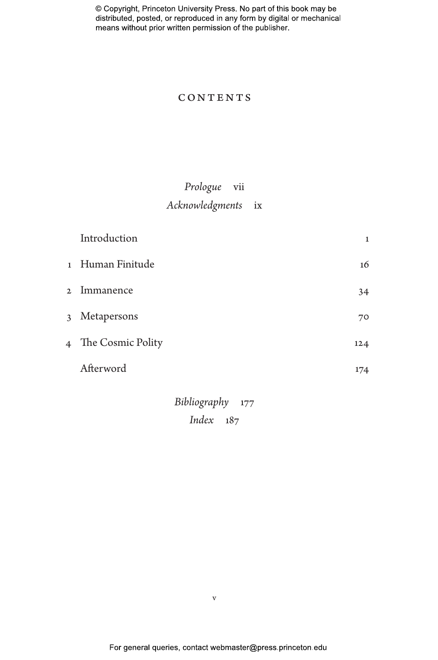### **CONTENTS**

# *Prologue* vii *Acknowledgments* ix

|                | Introduction      | 1   |
|----------------|-------------------|-----|
|                | 1 Human Finitude  | 16  |
| $\mathfrak{D}$ | Immanence         | 34  |
| 3              | Metapersons       | 70  |
| $\overline{4}$ | The Cosmic Polity | 124 |
|                | Afterword         | 174 |

*Bibliography* 177 *Index* 187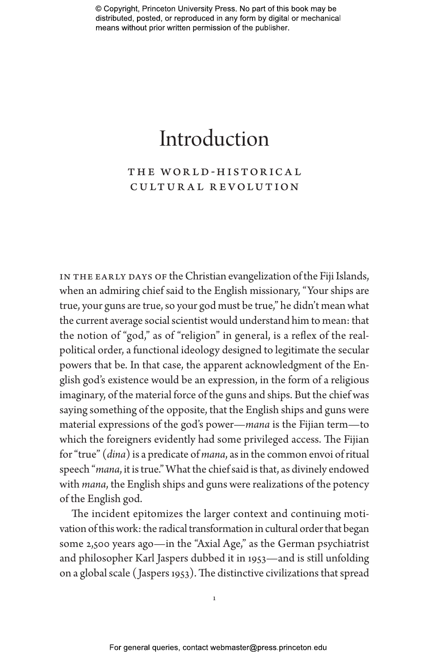# Introduction

# THE WORLD-HISTORICAL cultural revolution

IN THE EARLY DAYS OF the Christian evangelization of the Fiji Islands, when an admiring chief said to the English missionary, "Your ships are true, your guns are true, so your god must be true," he didn't mean what the current average social scientist would understand him to mean: that the notion of "god," as of "religion" in general, is a reflex of the realpolitical order, a functional ideology designed to legitimate the secular powers that be. In that case, the apparent acknowledgment of the English god's existence would be an expression, in the form of a religious imaginary, of the material force of the guns and ships. But the chief was saying something of the opposite, that the English ships and guns were material expressions of the god's power—*mana* is the Fijian term—to which the foreigners evidently had some privileged access. The Fijian for "true" (*dina*) is a predicate of *mana*, as in the common envoi of ritual speech "*mana*, it is true." What the chief said is that, as divinely endowed with *mana*, the English ships and guns were realizations of the potency of the English god.

The incident epitomizes the larger context and continuing motivation of this work: the radical transformation in cultural order that began some 2,500 years ago—in the "Axial Age," as the German psychiatrist and philosopher Karl Jaspers dubbed it in 1953—and is still unfolding on a global scale ( Jaspers 1953). The distinctive civilizations that spread

1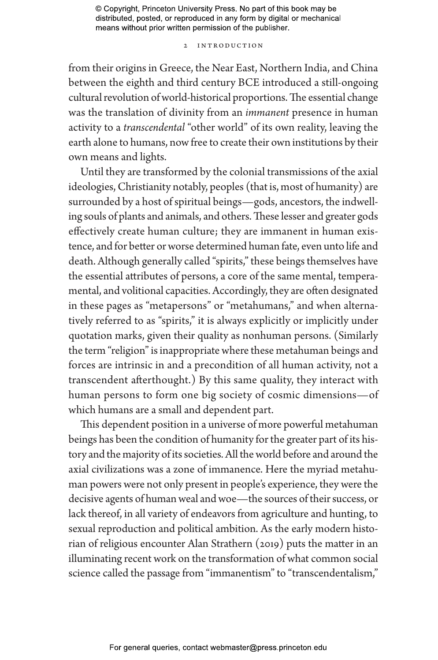#### 2 Introduction

from their origins in Greece, the Near East, Northern India, and China between the eighth and third century BCE introduced a still-ongoing cultural revolution of world-historical proportions. The essential change was the translation of divinity from an *immanent* presence in human activity to a *transcendental* "other world" of its own reality, leaving the earth alone to humans, now free to create their own institutions by their own means and lights.

Until they are transformed by the colonial transmissions of the axial ideologies, Christianity notably, peoples (that is, most of humanity) are surrounded by a host of spiritual beings—gods, ancestors, the indwelling souls of plants and animals, and others. These lesser and greater gods effectively create human culture; they are immanent in human existence, and for better or worse determined human fate, even unto life and death. Although generally called "spirits," these beings themselves have the essential attributes of persons, a core of the same mental, temperamental, and volitional capacities. Accordingly, they are often designated in these pages as "metapersons" or "metahumans," and when alternatively referred to as "spirits," it is always explicitly or implicitly under quotation marks, given their quality as nonhuman persons. (Similarly the term "religion" is inappropriate where these metahuman beings and forces are intrinsic in and a precondition of all human activity, not a transcendent afterthought.) By this same quality, they interact with human persons to form one big society of cosmic dimensions—of which humans are a small and dependent part.

This dependent position in a universe of more powerful metahuman beings has been the condition of humanity for the greater part of its history and the majority of its societies. All the world before and around the axial civilizations was a zone of immanence. Here the myriad metahuman powers were not only present in people's experience, they were the decisive agents of human weal and woe—the sources of their success, or lack thereof, in all variety of endeavors from agriculture and hunting, to sexual reproduction and political ambition. As the early modern historian of religious encounter Alan Strathern (2019) puts the matter in an illuminating recent work on the transformation of what common social science called the passage from "immanentism" to "transcendentalism,"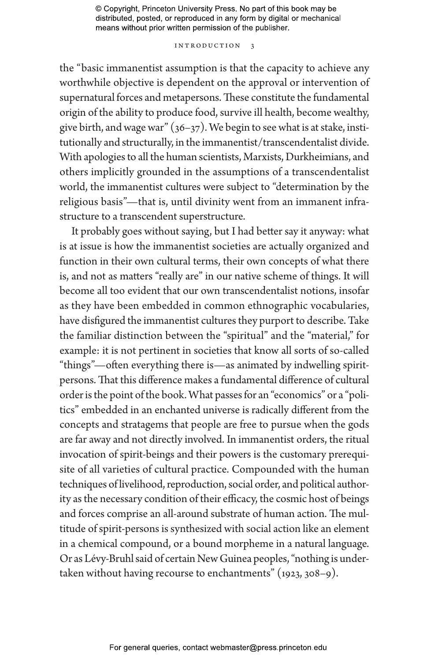#### Introduction 3

the "basic immanentist assumption is that the capacity to achieve any worthwhile objective is dependent on the approval or intervention of supernatural forces and metapersons. These constitute the fundamental origin of the ability to produce food, survive ill health, become wealthy, give birth, and wage war"  $(36-37)$ . We begin to see what is at stake, institutionally and structurally, in the immanentist/transcendentalist divide. With apologies to all the human scientists, Marxists, Durkheimians, and others implicitly grounded in the assumptions of a transcendentalist world, the immanentist cultures were subject to "determination by the religious basis"—that is, until divinity went from an immanent infrastructure to a transcendent superstructure.

It probably goes without saying, but I had better say it anyway: what is at issue is how the immanentist societies are actually organized and function in their own cultural terms, their own concepts of what there is, and not as matters "really are" in our native scheme of things. It will become all too evident that our own transcendentalist notions, insofar as they have been embedded in common ethnographic vocabularies, have disfigured the immanentist cultures they purport to describe. Take the familiar distinction between the "spiritual" and the "material," for example: it is not pertinent in societies that know all sorts of so-called "things"—often everything there is—as animated by indwelling spiritpersons. That this difference makes a fundamental difference of cultural order is the point of the book. What passes for an "economics" or a "politics" embedded in an enchanted universe is radically different from the concepts and stratagems that people are free to pursue when the gods are far away and not directly involved. In immanentist orders, the ritual invocation of spirit-beings and their powers is the customary prerequisite of all varieties of cultural practice. Compounded with the human techniques of livelihood, reproduction, social order, and political authority as the necessary condition of their efficacy, the cosmic host of beings and forces comprise an all-around substrate of human action. The multitude of spirit-persons is synthesized with social action like an element in a chemical compound, or a bound morpheme in a natural language. Or as Lévy-Bruhl said of certain New Guinea peoples, "nothing is undertaken without having recourse to enchantments" (1923, 308–9).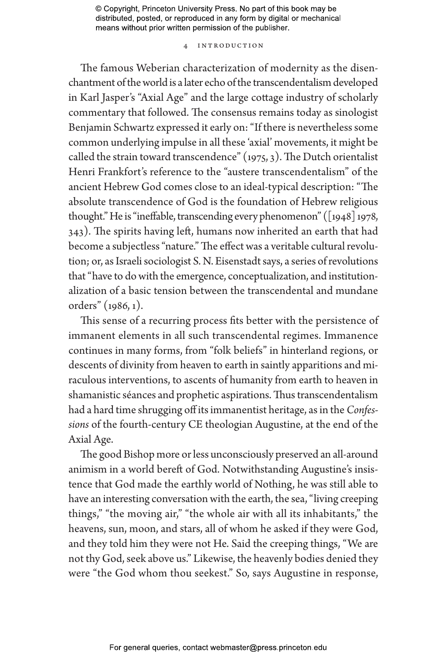#### 4 Introduction

The famous Weberian characterization of modernity as the disenchantment of the world is a later echo of the transcendentalism developed in Karl Jasper's "Axial Age" and the large cottage industry of scholarly commentary that followed. The consensus remains today as sinologist Benjamin Schwartz expressed it early on: "If there is nevertheless some common underlying impulse in all these 'axial' movements, it might be called the strain toward transcendence"  $(1975, 3)$ . The Dutch orientalist Henri Frankfort's reference to the "austere transcendentalism" of the ancient Hebrew God comes close to an ideal-typical description: "The absolute transcendence of God is the foundation of Hebrew religious thought." He is "ineffable, transcending every phenomenon" ([1948] 1978, 343). The spirits having left, humans now inherited an earth that had become a subjectless "nature." The effect was a veritable cultural revolution; or, as Israeli sociologist S. N. Eisenstadt says, a series of revolutions that "have to do with the emergence, conceptualization, and institutionalization of a basic tension between the transcendental and mundane orders" (1986, 1).

This sense of a recurring process fits better with the persistence of immanent elements in all such transcendental regimes. Immanence continues in many forms, from "folk beliefs" in hinterland regions, or descents of divinity from heaven to earth in saintly apparitions and miraculous interventions, to ascents of humanity from earth to heaven in shamanistic séances and prophetic aspirations. Thus transcendentalism had a hard time shrugging off its immanentist heritage, as in the *Confessions* of the fourth-century CE theologian Augustine, at the end of the Axial Age.

The good Bishop more or less unconsciously preserved an all-around animism in a world bereft of God. Notwithstanding Augustine's insistence that God made the earthly world of Nothing, he was still able to have an interesting conversation with the earth, the sea, "living creeping things," "the moving air," "the whole air with all its inhabitants," the heavens, sun, moon, and stars, all of whom he asked if they were God, and they told him they were not He. Said the creeping things, "We are not thy God, seek above us." Likewise, the heavenly bodies denied they were "the God whom thou seekest." So, says Augustine in response,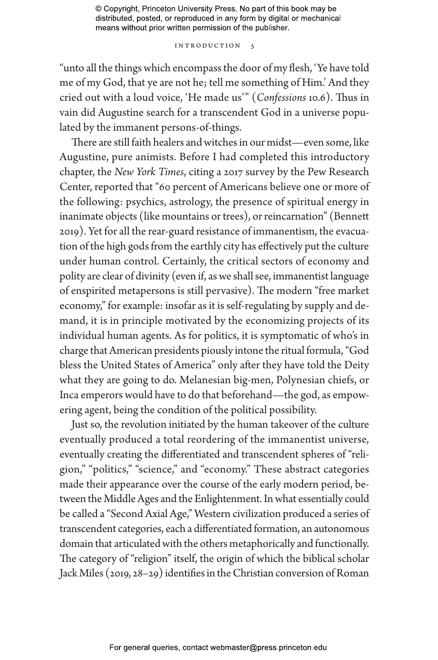#### INTRODUCTION 5

"unto all the things which encompass the door of my flesh, 'Ye have told me of my God, that ye are not he; tell me something of Him.' And they cried out with a loud voice, 'He made us'" (*Confessions* 10.6). Thus in vain did Augustine search for a transcendent God in a universe populated by the immanent persons-of-things.

There are still faith healers and witches in our midst—even some, like Augustine, pure animists. Before I had completed this introductory chapter, the *New York Times*, citing a 2017 survey by the Pew Research Center, reported that "60 percent of Americans believe one or more of the following: psychics, astrology, the presence of spiritual energy in inanimate objects (like mountains or trees), or reincarnation" (Bennett 2019). Yet for all the rear-guard resistance of immanentism, the evacuation of the high gods from the earthly city has effectively put the culture under human control. Certainly, the critical sectors of economy and polity are clear of divinity (even if, as we shall see, immanentist language of enspirited metapersons is still pervasive). The modern "free market economy," for example: insofar as it is self-regulating by supply and demand, it is in principle motivated by the economizing projects of its individual human agents. As for politics, it is symptomatic of who's in charge that American presidents piously intone the ritual formula, "God bless the United States of America" only after they have told the Deity what they are going to do. Melanesian big-men, Polynesian chiefs, or Inca emperors would have to do that beforehand—the god, as empowering agent, being the condition of the political possibility.

Just so, the revolution initiated by the human takeover of the culture eventually produced a total reordering of the immanentist universe, eventually creating the differentiated and transcendent spheres of "religion," "politics," "science," and "economy." These abstract categories made their appearance over the course of the early modern period, between the Middle Ages and the Enlightenment. In what essentially could be called a "Second Axial Age," Western civilization produced a series of transcendent categories, each a differentiated formation, an autonomous domain that articulated with the others metaphorically and functionally. The category of "religion" itself, the origin of which the biblical scholar Jack Miles (2019, 28–29) identifies in the Christian conversion of Roman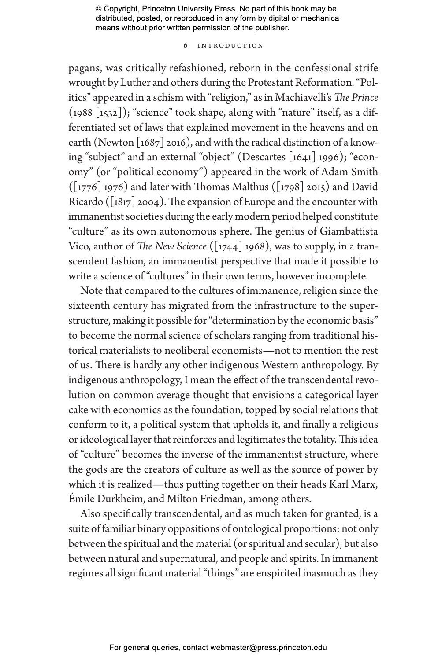#### 6 Introduction

pagans, was critically refashioned, reborn in the confessional strife wrought by Luther and others during the Protestant Reformation. "Politics" appeared in a schism with "religion," as in Machiavelli's *The Prince* (1988 [1532]); "science" took shape, along with "nature" itself, as a differentiated set of laws that explained movement in the heavens and on earth (Newton  $\lceil 1687 \rceil$  2016), and with the radical distinction of a knowing "subject" and an external "object" (Descartes [1641] 1996); "economy" (or "political economy") appeared in the work of Adam Smith  $(\lceil 1776 \rceil 1976)$  and later with Thomas Malthus  $(\lceil 1798 \rceil 2015)$  and David Ricardo ( $\lceil 1817 \rceil$  2004). The expansion of Europe and the encounter with immanentist societies during the early modern period helped constitute "culture" as its own autonomous sphere. The genius of Giambattista Vico, author of *The New Science* ([1744] 1968), was to supply, in a transcendent fashion, an immanentist perspective that made it possible to write a science of "cultures" in their own terms, however incomplete.

Note that compared to the cultures of immanence, religion since the sixteenth century has migrated from the infrastructure to the superstructure, making it possible for "determination by the economic basis" to become the normal science of scholars ranging from traditional historical materialists to neoliberal economists—not to mention the rest of us. There is hardly any other indigenous Western anthropology. By indigenous anthropology, I mean the effect of the transcendental revolution on common average thought that envisions a categorical layer cake with economics as the foundation, topped by social relations that conform to it, a political system that upholds it, and finally a religious or ideological layer that reinforces and legitimates the totality. This idea of "culture" becomes the inverse of the immanentist structure, where the gods are the creators of culture as well as the source of power by which it is realized—thus putting together on their heads Karl Marx, Émile Durkheim, and Milton Friedman, among others.

Also specifically transcendental, and as much taken for granted, is a suite of familiar binary oppositions of ontological proportions: not only between the spiritual and the material (or spiritual and secular), but also between natural and supernatural, and people and spirits. In immanent regimes all significant material "things" are enspirited inasmuch as they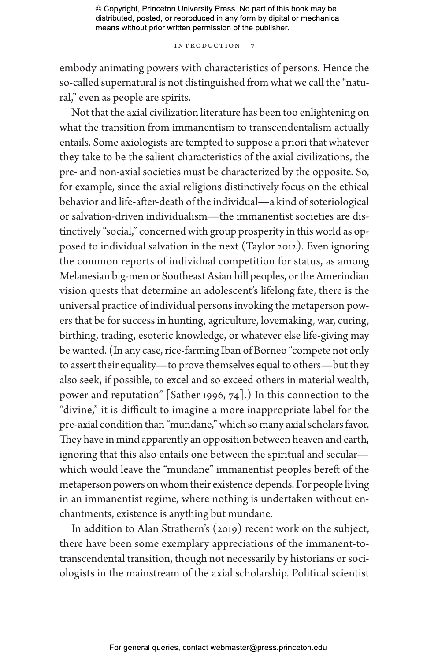#### INTRODUCTION

embody animating powers with characteristics of persons. Hence the so-called supernatural is not distinguished from what we call the "natural," even as people are spirits.

Not that the axial civilization literature has been too enlightening on what the transition from immanentism to transcendentalism actually entails. Some axiologists are tempted to suppose a priori that whatever they take to be the salient characteristics of the axial civilizations, the pre- and non-axial societies must be characterized by the opposite. So, for example, since the axial religions distinctively focus on the ethical behavior and life-after-death of the individual—a kind of soteriological or salvation-driven individualism—the immanentist societies are distinctively "social," concerned with group prosperity in this world as opposed to individual salvation in the next (Taylor 2012). Even ignoring the common reports of individual competition for status, as among Melanesian big-men or Southeast Asian hill peoples, or the Amerindian vision quests that determine an adolescent's lifelong fate, there is the universal practice of individual persons invoking the metaperson powers that be for success in hunting, agriculture, lovemaking, war, curing, birthing, trading, esoteric knowledge, or whatever else life-giving may be wanted. (In any case, rice-farming Iban of Borneo "compete not only to assert their equality—to prove themselves equal to others—but they also seek, if possible, to excel and so exceed others in material wealth, power and reputation" [Sather 1996, 74].) In this connection to the "divine," it is difficult to imagine a more inappropriate label for the pre-axial condition than "mundane," which so many axial scholars favor. They have in mind apparently an opposition between heaven and earth, ignoring that this also entails one between the spiritual and secular which would leave the "mundane" immanentist peoples bereft of the metaperson powers on whom their existence depends. For people living in an immanentist regime, where nothing is undertaken without enchantments, existence is anything but mundane.

In addition to Alan Strathern's (2019) recent work on the subject, there have been some exemplary appreciations of the immanent-totranscendental transition, though not necessarily by historians or sociologists in the mainstream of the axial scholarship. Political scientist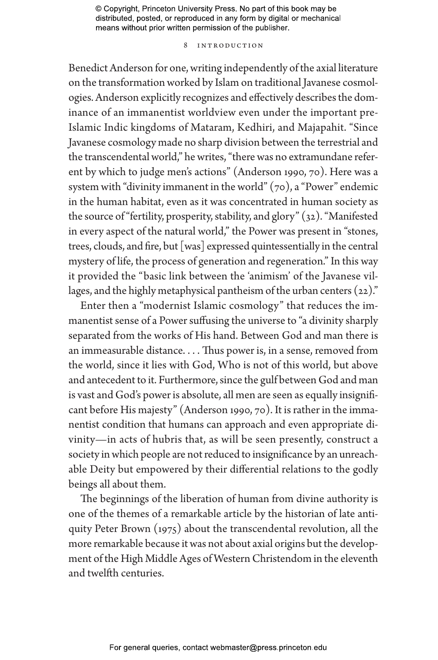#### 8 Introduction

Benedict Anderson for one, writing independently of the axial literature on the transformation worked by Islam on traditional Javanese cosmologies. Anderson explicitly recognizes and effectively describes the dominance of an immanentist worldview even under the important pre-Islamic Indic kingdoms of Mataram, Kedhiri, and Majapahit. "Since Javanese cosmology made no sharp division between the terrestrial and the transcendental world," he writes, "there was no extramundane referent by which to judge men's actions" (Anderson 1990, 70). Here was a system with "divinity immanent in the world"  $(70)$ , a "Power" endemic in the human habitat, even as it was concentrated in human society as the source of "fertility, prosperity, stability, and glory" (32). "Manifested in every aspect of the natural world," the Power was present in "stones, trees, clouds, and fire, but [was] expressed quintessentially in the central mystery of life, the process of generation and regeneration." In this way it provided the "basic link between the 'animism' of the Javanese villages, and the highly metaphysical pantheism of the urban centers  $(22)$ ."

Enter then a "modernist Islamic cosmology" that reduces the immanentist sense of a Power suffusing the universe to "a divinity sharply separated from the works of His hand. Between God and man there is an immeasurable distance. . . . Thus power is, in a sense, removed from the world, since it lies with God, Who is not of this world, but above and antecedent to it. Furthermore, since the gulf between God and man is vast and God's power is absolute, all men are seen as equally insignificant before His majesty" (Anderson 1990, 70). It is rather in the immanentist condition that humans can approach and even appropriate divinity—in acts of hubris that, as will be seen presently, construct a society in which people are not reduced to insignificance by an unreachable Deity but empowered by their differential relations to the godly beings all about them.

The beginnings of the liberation of human from divine authority is one of the themes of a remarkable article by the historian of late antiquity Peter Brown (1975) about the transcendental revolution, all the more remarkable because it was not about axial origins but the development of the High Middle Ages of Western Christendom in the eleventh and twelfth centuries.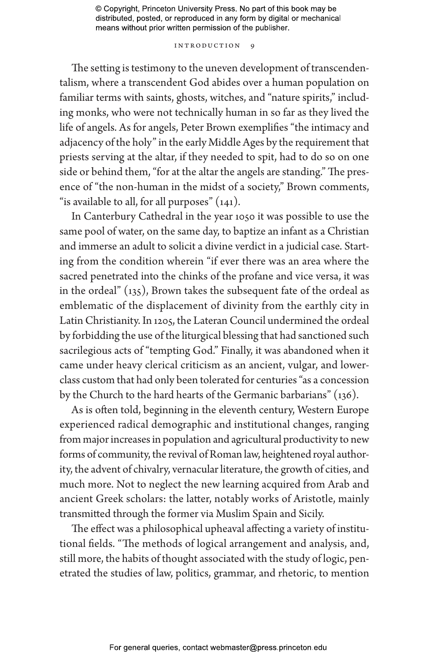#### INTRODUCTION 9

The setting is testimony to the uneven development of transcendentalism, where a transcendent God abides over a human population on familiar terms with saints, ghosts, witches, and "nature spirits," including monks, who were not technically human in so far as they lived the life of angels. As for angels, Peter Brown exemplifies "the intimacy and adjacency of the holy" in the early Middle Ages by the requirement that priests serving at the altar, if they needed to spit, had to do so on one side or behind them, "for at the altar the angels are standing." The presence of "the non-human in the midst of a society," Brown comments, "is available to all, for all purposes" (141).

In Canterbury Cathedral in the year 1050 it was possible to use the same pool of water, on the same day, to baptize an infant as a Christian and immerse an adult to solicit a divine verdict in a judicial case. Starting from the condition wherein "if ever there was an area where the sacred penetrated into the chinks of the profane and vice versa, it was in the ordeal" (135), Brown takes the subsequent fate of the ordeal as emblematic of the displacement of divinity from the earthly city in Latin Christianity. In 1205, the Lateran Council undermined the ordeal by forbidding the use of the liturgical blessing that had sanctioned such sacrilegious acts of "tempting God." Finally, it was abandoned when it came under heavy clerical criticism as an ancient, vulgar, and lowerclass custom that had only been tolerated for centuries "as a concession by the Church to the hard hearts of the Germanic barbarians" (136).

As is often told, beginning in the eleventh century, Western Europe experienced radical demographic and institutional changes, ranging from major increases in population and agricultural productivity to new forms of community, the revival of Roman law, heightened royal authority, the advent of chivalry, vernacular literature, the growth of cities, and much more. Not to neglect the new learning acquired from Arab and ancient Greek scholars: the latter, notably works of Aristotle, mainly transmitted through the former via Muslim Spain and Sicily.

The effect was a philosophical upheaval affecting a variety of institutional fields. "The methods of logical arrangement and analysis, and, still more, the habits of thought associated with the study of logic, penetrated the studies of law, politics, grammar, and rhetoric, to mention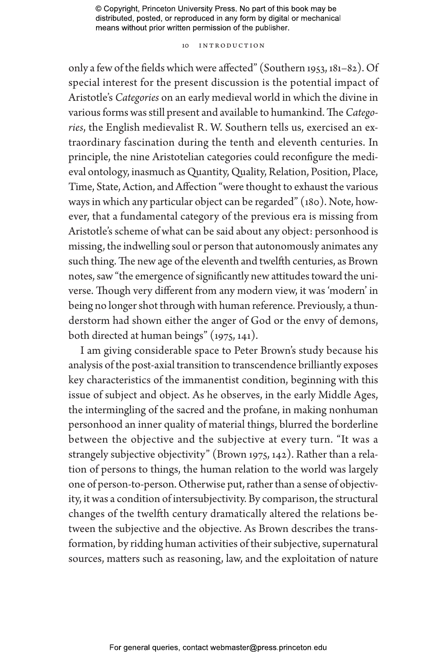#### 10 Introduction

only a few of the fields which were affected" (Southern 1953, 181–82). Of special interest for the present discussion is the potential impact of Aristotle's *Categories* on an early medieval world in which the divine in various forms was still present and available to humankind. The *Categories*, the English medievalist R. W. Southern tells us, exercised an extraordinary fascination during the tenth and eleventh centuries. In principle, the nine Aristotelian categories could reconfigure the medieval ontology, inasmuch as Quantity, Quality, Relation, Position, Place, Time, State, Action, and Affection "were thought to exhaust the various ways in which any particular object can be regarded" (180). Note, however, that a fundamental category of the previous era is missing from Aristotle's scheme of what can be said about any object: personhood is missing, the indwelling soul or person that autonomously animates any such thing. The new age of the eleventh and twelfth centuries, as Brown notes, saw "the emergence of significantly new attitudes toward the universe. Though very different from any modern view, it was 'modern' in being no longer shot through with human reference. Previously, a thunderstorm had shown either the anger of God or the envy of demons, both directed at human beings" (1975, 141).

I am giving considerable space to Peter Brown's study because his analysis of the post-axial transition to transcendence brilliantly exposes key characteristics of the immanentist condition, beginning with this issue of subject and object. As he observes, in the early Middle Ages, the intermingling of the sacred and the profane, in making nonhuman personhood an inner quality of material things, blurred the borderline between the objective and the subjective at every turn. "It was a strangely subjective objectivity" (Brown 1975, 142). Rather than a relation of persons to things, the human relation to the world was largely one of person-to-person. Otherwise put, rather than a sense of objectivity, it was a condition of intersubjectivity. By comparison, the structural changes of the twelfth century dramatically altered the relations between the subjective and the objective. As Brown describes the transformation, by ridding human activities of their subjective, supernatural sources, matters such as reasoning, law, and the exploitation of nature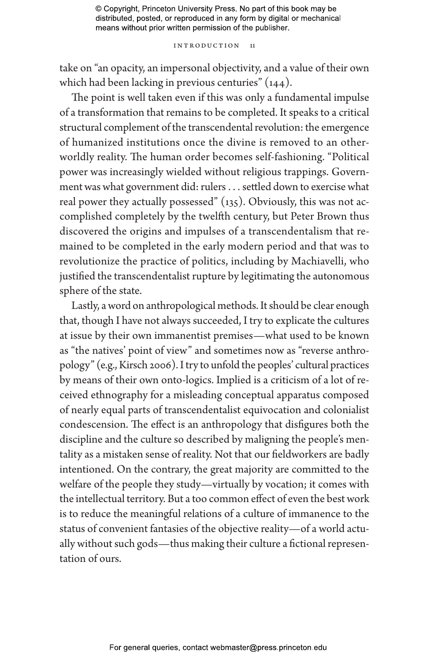#### Introduction 11

take on "an opacity, an impersonal objectivity, and a value of their own which had been lacking in previous centuries" (144).

The point is well taken even if this was only a fundamental impulse of a transformation that remains to be completed. It speaks to a critical structural complement of the transcendental revolution: the emergence of humanized institutions once the divine is removed to an otherworldly reality. The human order becomes self-fashioning. "Political power was increasingly wielded without religious trappings. Government was what government did: rulers . . . settled down to exercise what real power they actually possessed" (135). Obviously, this was not accomplished completely by the twelfth century, but Peter Brown thus discovered the origins and impulses of a transcendentalism that remained to be completed in the early modern period and that was to revolutionize the practice of politics, including by Machiavelli, who justified the transcendentalist rupture by legitimating the autonomous sphere of the state.

Lastly, a word on anthropological methods. It should be clear enough that, though I have not always succeeded, I try to explicate the cultures at issue by their own immanentist premises—what used to be known as "the natives' point of view" and sometimes now as "reverse anthropology" (e.g., Kirsch 2006). I try to unfold the peoples' cultural practices by means of their own onto-logics. Implied is a criticism of a lot of received ethnography for a misleading conceptual apparatus composed of nearly equal parts of transcendentalist equivocation and colonialist condescension. The effect is an anthropology that disfigures both the discipline and the culture so described by maligning the people's mentality as a mistaken sense of reality. Not that our fieldworkers are badly intentioned. On the contrary, the great majority are committed to the welfare of the people they study—virtually by vocation; it comes with the intellectual territory. But a too common effect of even the best work is to reduce the meaningful relations of a culture of immanence to the status of convenient fantasies of the objective reality—of a world actually without such gods—thus making their culture a fictional representation of ours.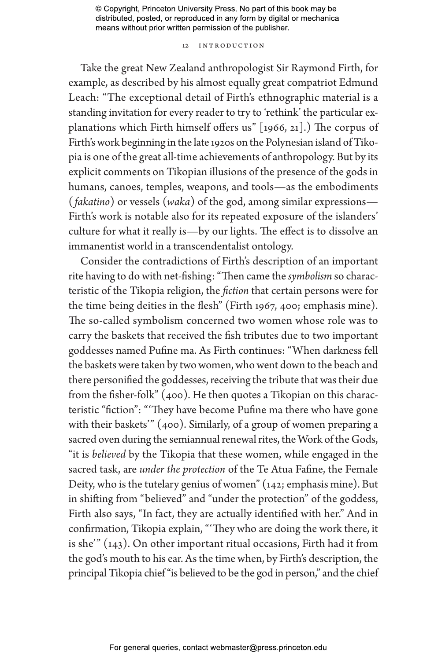#### 12 Introduction

Take the great New Zealand anthropologist Sir Raymond Firth, for example, as described by his almost equally great compatriot Edmund Leach: "The exceptional detail of Firth's ethnographic material is a standing invitation for every reader to try to 'rethink' the particular explanations which Firth himself offers us" [1966, 21].) The corpus of Firth's work beginning in the late 1920s on the Polynesian island of Tikopia is one of the great all-time achievements of anthropology. But by its explicit comments on Tikopian illusions of the presence of the gods in humans, canoes, temples, weapons, and tools—as the embodiments ( *fakatino*) or vessels (*waka*) of the god, among similar expressions— Firth's work is notable also for its repeated exposure of the islanders' culture for what it really is—by our lights. The effect is to dissolve an immanentist world in a transcendentalist ontology.

Consider the contradictions of Firth's description of an important rite having to do with net-fishing: "Then came the *symbolism* so characteristic of the Tikopia religion, the *fiction* that certain persons were for the time being deities in the flesh" (Firth 1967, 400; emphasis mine). The so-called symbolism concerned two women whose role was to carry the baskets that received the fish tributes due to two important goddesses named Pufine ma. As Firth continues: "When darkness fell the baskets were taken by two women, who went down to the beach and there personified the goddesses, receiving the tribute that was their due from the fisher-folk" (400). He then quotes a Tikopian on this characteristic "fiction": "'They have become Pufine ma there who have gone with their baskets'" (400). Similarly, of a group of women preparing a sacred oven during the semiannual renewal rites, the Work of the Gods, "it is *believed* by the Tikopia that these women, while engaged in the sacred task, are *under the protection* of the Te Atua Fafine, the Female Deity, who is the tutelary genius of women" (142; emphasis mine). But in shifting from "believed" and "under the protection" of the goddess, Firth also says, "In fact, they are actually identified with her." And in confirmation, Tikopia explain, "'They who are doing the work there, it is she'" (143). On other important ritual occasions, Firth had it from the god's mouth to his ear. As the time when, by Firth's description, the principal Tikopia chief "is believed to be the god in person," and the chief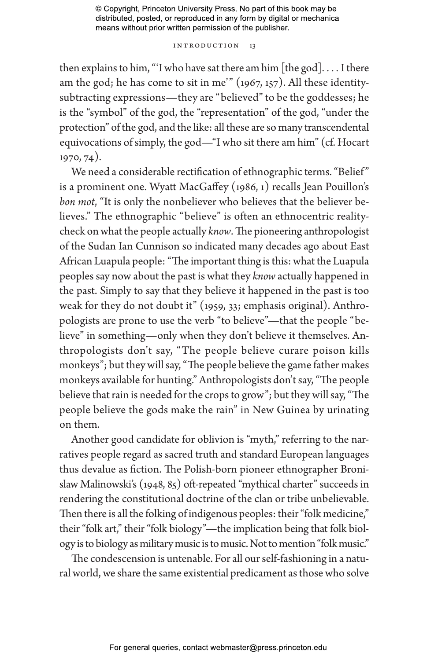#### INTRODUCTION 13

then explains to him, "I who have sat there am him [the god].... I there am the god; he has come to sit in me'" (1967, 157). All these identitysubtracting expressions—they are "believed" to be the goddesses; he is the "symbol" of the god, the "representation" of the god, "under the protection" of the god, and the like: all these are so many transcendental equivocations of simply, the god—"I who sit there am him" (cf. Hocart 1970, 74).

We need a considerable rectification of ethnographic terms. "Belief" is a prominent one. Wyatt MacGaffey (1986, 1) recalls Jean Pouillon's *bon mot*, "It is only the nonbeliever who believes that the believer believes." The ethnographic "believe" is often an ethnocentric realitycheck on what the people actually *know*. The pioneering anthropologist of the Sudan Ian Cunnison so indicated many decades ago about East African Luapula people: "The important thing is this: what the Luapula peoples say now about the past is what they *know* actually happened in the past. Simply to say that they believe it happened in the past is too weak for they do not doubt it" (1959, 33; emphasis original). Anthropologists are prone to use the verb "to believe"—that the people "believe" in something—only when they don't believe it themselves. Anthropologists don't say, "The people believe curare poison kills monkeys"; but they will say, "The people believe the game father makes monkeys available for hunting." Anthropologists don't say, "The people believe that rain is needed for the crops to grow"; but they will say, "The people believe the gods make the rain" in New Guinea by urinating on them.

Another good candidate for oblivion is "myth," referring to the narratives people regard as sacred truth and standard European languages thus devalue as fiction. The Polish-born pioneer ethnographer Bronislaw Malinowski's (1948, 85) oft-repeated "mythical charter" succeeds in rendering the constitutional doctrine of the clan or tribe unbelievable. Then there is all the folking of indigenous peoples: their "folk medicine," their "folk art," their "folk biology"—the implication being that folk biology is to biology as military music is to music. Not to mention "folk music."

The condescension is untenable. For all our self-fashioning in a natural world, we share the same existential predicament as those who solve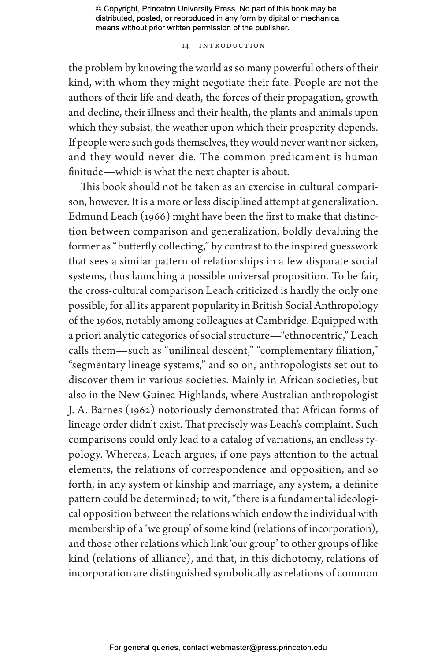#### 14 Introduction

the problem by knowing the world as so many powerful others of their kind, with whom they might negotiate their fate. People are not the authors of their life and death, the forces of their propagation, growth and decline, their illness and their health, the plants and animals upon which they subsist, the weather upon which their prosperity depends. If people were such gods themselves, they would never want nor sicken, and they would never die. The common predicament is human finitude—which is what the next chapter is about.

This book should not be taken as an exercise in cultural comparison, however. It is a more or less disciplined attempt at generalization. Edmund Leach (1966) might have been the first to make that distinction between comparison and generalization, boldly devaluing the former as "butterfly collecting," by contrast to the inspired guesswork that sees a similar pattern of relationships in a few disparate social systems, thus launching a possible universal proposition. To be fair, the cross-cultural comparison Leach criticized is hardly the only one possible, for all its apparent popularity in British Social Anthropology of the 1960s, notably among colleagues at Cambridge. Equipped with a priori analytic categories of social structure—"ethnocentric," Leach calls them—such as "unilineal descent," "complementary filiation," "segmentary lineage systems," and so on, anthropologists set out to discover them in various societies. Mainly in African societies, but also in the New Guinea Highlands, where Australian anthropologist J. A. Barnes (1962) notoriously demonstrated that African forms of lineage order didn't exist. That precisely was Leach's complaint. Such comparisons could only lead to a catalog of variations, an endless typology. Whereas, Leach argues, if one pays attention to the actual elements, the relations of correspondence and opposition, and so forth, in any system of kinship and marriage, any system, a definite pattern could be determined; to wit, "there is a fundamental ideological opposition between the relations which endow the individual with membership of a 'we group' of some kind (relations of incorporation), and those other relations which link 'our group' to other groups of like kind (relations of alliance), and that, in this dichotomy, relations of incorporation are distinguished symbolically as relations of common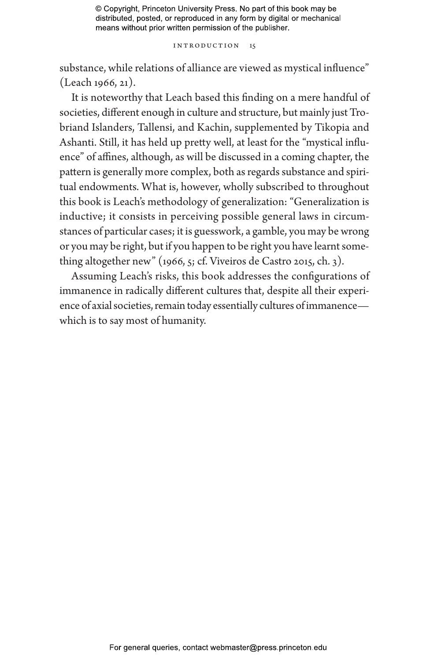#### Introduction 15

substance, while relations of alliance are viewed as mystical influence" (Leach 1966, 21).

It is noteworthy that Leach based this finding on a mere handful of societies, different enough in culture and structure, but mainly just Trobriand Islanders, Tallensi, and Kachin, supplemented by Tikopia and Ashanti. Still, it has held up pretty well, at least for the "mystical influence" of affines, although, as will be discussed in a coming chapter, the pattern is generally more complex, both as regards substance and spiritual endowments. What is, however, wholly subscribed to throughout this book is Leach's methodology of generalization: "Generalization is inductive; it consists in perceiving possible general laws in circumstances of particular cases; it is guesswork, a gamble, you may be wrong or you may be right, but if you happen to be right you have learnt something altogether new" (1966, 5; cf. Viveiros de Castro 2015, ch. 3).

Assuming Leach's risks, this book addresses the configurations of immanence in radically different cultures that, despite all their experience of axial societies, remain today essentially cultures of immanence which is to say most of humanity.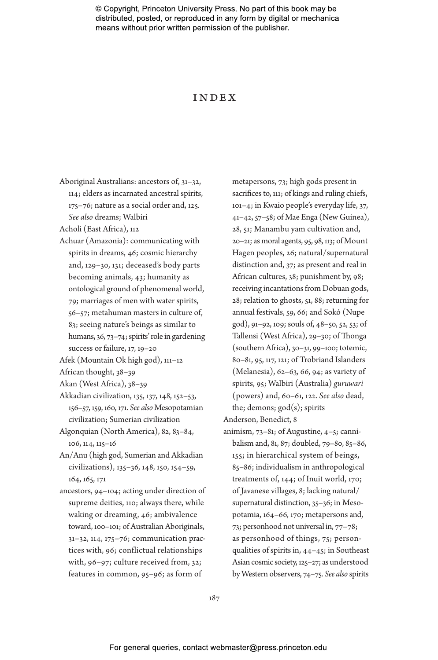## Index

Aboriginal Australians: ancestors of, 31–32, 114; elders as incarnated ancestral spirits, 175–76; nature as a social order and, 125. *See also* dreams; Walbiri

Acholi (East Africa), 112

- Achuar (Amazonia): communicating with spirits in dreams, 46; cosmic hierarchy and, 129–30, 131; deceased's body parts becoming animals, 43; humanity as ontological ground of phenomenal world, 79; marriages of men with water spirits, 56–57; metahuman masters in culture of, 83; seeing nature's beings as similar to humans, 36, 73–74; spirits' role in gardening success or failure, 17, 19-20
- Afek (Mountain Ok high god), 111–12
- African thought, 38–39
- Akan (West Africa), 38–39
- Akkadian civilization, 135, 137, 148, 152–53, 156–57, 159, 160, 171. *See also* Mesopotamian civilization; Sumerian civilization
- Algonquian (North America), 82, 83–84, 106, 114, 115–16
- An/Anu (high god, Sumerian and Akkadian civilizations), 135–36, 148, 150, 154–59, 164, 165, 171
- ancestors, 94–104; acting under direction of supreme deities, 110; always there, while waking or dreaming, 46; ambivalence toward, 100–101; of Australian Aboriginals, 31–32, 114, 175–76; communication practices with, 96; conflictual relationships with, 96–97; culture received from, 32; features in common, 95–96; as form of

metapersons, 73; high gods present in sacrifices to, 111; of kings and ruling chiefs, 101–4; in Kwaio people's everyday life, 37, 41–42, 57–58; of Mae Enga (New Guinea), 28, 51; Manambu yam cultivation and, 20–21; as moral agents, 95, 98, 113; of Mount Hagen peoples, 26; natural/supernatural distinction and, 37; as present and real in African cultures, 38; punishment by, 98; receiving incantations from Dobuan gods, 28; relation to ghosts, 51, 88; returning for annual festivals, 59, 66; and Sokó (Nupe god), 91–92, 109; souls of, 48–50, 52, 53; of Tallensi (West Africa), 29–30; of Thonga (southern Africa), 30–31, 99–100; totemic, 80–81, 95, 117, 121; of Trobriand Islanders (Melanesia), 62–63, 66, 94; as variety of spirits, 95; Walbiri (Australia) *guruwari* (powers) and, 60–61, 122. *See also* dead, the; demons;  $\gcd(s)$ ; spirits

Anderson, Benedict, 8

animism, 73–81; of Augustine, 4–5; cannibalism and, 81, 87; doubled, 79–80, 85–86, 155; in hierarchical system of beings, 85–86; individualism in anthropological treatments of, 144; of Inuit world, 170; of Javanese villages, 8; lacking natural/ supernatural distinction, 35–36; in Mesopotamia, 164–66, 170; metapersons and, 73; personhood not universal in, 77–78; as personhood of things, 75; personqualities of spirits in, 44–45; in Southeast Asian cosmic society, 125–27; as understood by Western observers, 74–75. *See also* spirits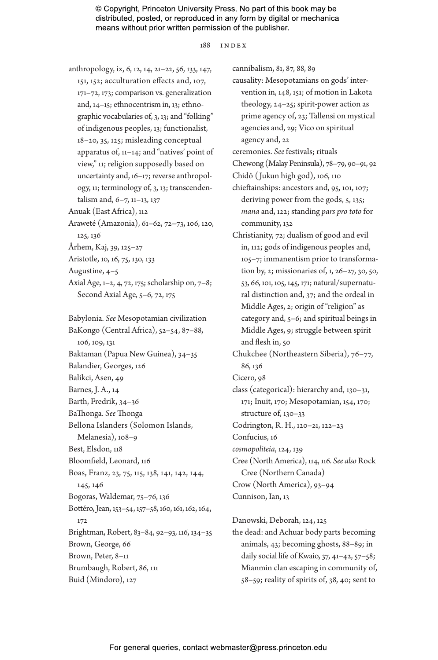#### 188 index

anthropology, ix, 6, 12, 14, 21–22, 56, 133, 147, 151, 152; acculturation effects and, 107, 171–72, 173; comparison vs. generalization and, 14–15; ethnocentrism in, 13; ethnographic vocabularies of, 3, 13; and "folking" of indigenous peoples, 13; functionalist, 18–20, 35, 125; misleading conceptual apparatus of, 11–14; and "natives' point of view," 11; religion supposedly based on uncertainty and, 16–17; reverse anthropology, 11; terminology of, 3, 13; transcendentalism and, 6–7, 11–13, 137 Anuak (East Africa), 112 Araweté (Amazonia), 61–62, 72–73, 106, 120,

125, 136

Århem, Kaj, 39, 125–27

Aristotle, 10, 16, 75, 130, 133

- Augustine, 4–5
- Axial Age, 1–2, 4, 72, 175; scholarship on, 7–8; Second Axial Age, 5–6, 72, 175

Babylonia. *See* Mesopotamian civilization BaKongo (Central Africa), 52–54, 87–88, 106, 109, 131 Baktaman (Papua New Guinea), 34–35 Balandier, Georges, 126 Balikci, Asen, 49 Barnes, J. A., 14 Barth, Fredrik, 34–36 BaThonga. *See* Thonga Bellona Islanders (Solomon Islands, Melanesia), 108–9 Best, Elsdon, 118 Bloomfield, Leonard, 116 Boas, Franz, 23, 75, 115, 138, 141, 142, 144, 145, 146 Bogoras, Waldemar, 75–76, 136 Bottéro, Jean, 153–54, 157–58, 160, 161, 162, 164, 172 Brightman, Robert, 83–84, 92–93, 116, 134–35 Brown, George, 66 Brown, Peter, 8–11 Brumbaugh, Robert, 86, 111 Buid (Mindoro), 127

cannibalism, 81, 87, 88, 89

causality: Mesopotamians on gods' intervention in, 148, 151; of motion in Lakota theology, 24–25; spirit-power action as prime agency of, 23; Tallensi on mystical agencies and, 29; Vico on spiritual agency and, 22

ceremonies. *See* festivals; rituals

- Chewong (Malay Peninsula), 78–79, 90–91, 92 Chidô ( Jukun high god), 106, 110
- chieftainships: ancestors and, 95, 101, 107; deriving power from the gods, 5, 135; *mana* and, 122; standing *pars pro toto* for community, 132
- Christianity, 72; dualism of good and evil in, 112; gods of indigenous peoples and, 105–7; immanentism prior to transformation by, 2; missionaries of, 1, 26–27, 30, 50, 53, 66, 101, 105, 145, 171; natural/supernatural distinction and, 37; and the ordeal in Middle Ages, 2; origin of "religion" as category and, 5–6; and spiritual beings in Middle Ages, 9; struggle between spirit and flesh in, 50

Chukchee (Northeastern Siberia), 76–77, 86, 136

Cicero, 98

class (categorical): hierarchy and, 130–31, 171; Inuit, 170; Mesopotamian, 154, 170; structure of, 130–33 Codrington, R. H., 120–21, 122–23

Confucius, 16

*cosmopoliteia*, 124, 139

Cree (North America), 114, 116. *See also* Rock Cree (Northern Canada) Crow (North America), 93–94

Cunnison, Ian, 13

Danowski, Deborah, 124, 125

the dead: and Achuar body parts becoming animals, 43; becoming ghosts, 88–89; in daily social life of Kwaio, 37, 41–42, 57–58; Mianmin clan escaping in community of, 58–59; reality of spirits of, 38, 40; sent to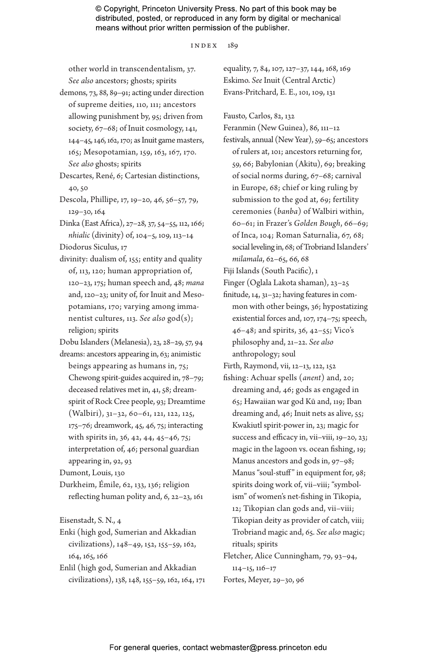index 189

other world in transcendentalism, 37. *See also* ancestors; ghosts; spirits

demons, 73, 88, 89–91; acting under direction of supreme deities, 110, 111; ancestors allowing punishment by, 95; driven from society, 67–68; of Inuit cosmology, 141, 144–45, 146, 162, 170; as Inuit game masters, 165; Mesopotamian, 159, 163, 167, 170. *See also* ghosts; spirits

- Descartes, René, 6; Cartesian distinctions, 40, 50
- Descola, Phillipe, 17, 19–20, 46, 56–57, 79, 129–30, 164
- Dinka (East Africa), 27–28, 37, 54–55, 112, 166; *nhialic* (divinity) of, 104–5, 109, 113–14
- Diodorus Siculus, 17

divinity: dualism of, 155; entity and quality of, 113, 120; human appropriation of, 120–23, 175; human speech and, 48; *mana* and, 120–23; unity of, for Inuit and Mesopotamians, 170; varying among immanentist cultures, 113. *See also* god(s); religion; spirits

Dobu Islanders (Melanesia), 23, 28–29, 57, 94 dreams: ancestors appearing in, 63; animistic

beings appearing as humans in, 75; Chewong spirit-guides acquired in, 78–79; deceased relatives met in, 41, 58; dreamspirit of Rock Cree people, 93; Dreamtime (Walbiri), 31–32, 60–61, 121, 122, 125, 175–76; dreamwork, 45, 46, 75; interacting with spirits in, 36, 42, 44, 45–46, 75; interpretation of, 46; personal guardian appearing in, 92, 93

Dumont, Louis, 130

Durkheim, Émile, 62, 133, 136; religion reflecting human polity and, 6, 22–23, 161

Eisenstadt, S. N., 4

- Enki (high god, Sumerian and Akkadian civilizations), 148–49, 152, 155–59, 162, 164, 165, 166
- Enlil (high god, Sumerian and Akkadian civilizations), 138, 148, 155–59, 162, 164, 171

equality, 7, 84, 107, 127–37, 144, 168, 169 Eskimo. *See* Inuit (Central Arctic) Evans-Pritchard, E. E., 101, 109, 131

Fausto, Carlos, 82, 132

Feranmin (New Guinea), 86, 111–12

festivals, annual (New Year), 59–65; ancestors of rulers at, 101; ancestors returning for, 59, 66; Babylonian (Akitu), 69; breaking of social norms during, 67–68; carnival in Europe, 68; chief or king ruling by submission to the god at, 69; fertility ceremonies (*banba*) of Walbiri within, 60–61; in Frazer's *Golden Bough*, 66–69; of Inca, 104; Roman Saturnalia, 67, 68; social leveling in, 68; of Trobriand Islanders' *milamala*, 62–65, 66, 68

Fiji Islands (South Pacific), 1

Finger (Oglala Lakota shaman), 23–25

finitude, 14, 31–32; having features in common with other beings, 36; hypostatizing existential forces and, 107, 174–75; speech, 46–48; and spirits, 36, 42–55; Vico's philosophy and, 21–22. *See also* anthropology; soul

Firth, Raymond, vii, 12–13, 122, 152

fishing: Achuar spells (*anent*) and, 20; dreaming and, 46; gods as engaged in 65; Hawaiian war god Kū and, 119; Iban dreaming and, 46; Inuit nets as alive, 55; Kwakiutl spirit-power in, 23; magic for success and efficacy in, vii–viii, 19–20, 23; magic in the lagoon vs. ocean fishing, 19; Manus ancestors and gods in, 97–98; Manus "soul-stuff" in equipment for, 98; spirits doing work of, vii–viii; "symbolism" of women's net-fishing in Tikopia, 12; Tikopian clan gods and, vii–viii; Tikopian deity as provider of catch, viii; Trobriand magic and, 65. *See also* magic; rituals; spirits

Fletcher, Alice Cunningham, 79, 93–94, 114–15, 116–17 Fortes, Meyer, 29–30, 96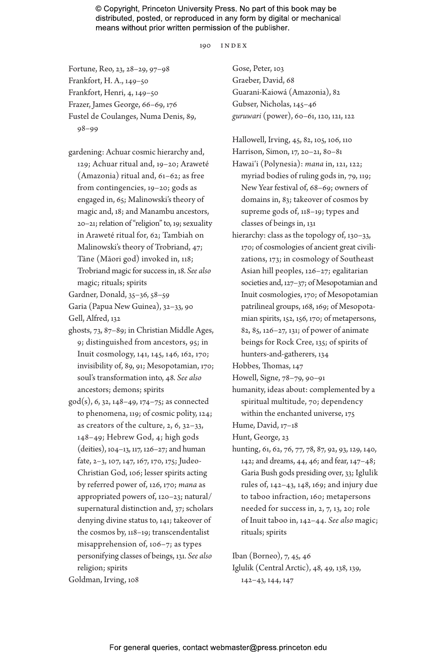190 index

Fortune, Reo, 23, 28–29, 97–98 Frankfort, H. A., 149–50 Frankfort, Henri, 4, 149–50 Frazer, James George, 66–69, 176 Fustel de Coulanges, Numa Denis, 89, 98–99

- gardening: Achuar cosmic hierarchy and, 129; Achuar ritual and, 19–20; Araweté (Amazonia) ritual and, 61–62; as free from contingencies, 19–20; gods as engaged in, 65; Malinowski's theory of magic and, 18; and Manambu ancestors, 20–21; relation of "religion" to, 19; sexuality in Araweté ritual for, 62; Tambiah on Malinowski's theory of Trobriand, 47; Tāne (Māori god) invoked in, 118; Trobriand magic for success in, 18. *See also* magic; rituals; spirits
- Gardner, Donald, 35–36, 58–59 Garia (Papua New Guinea), 32–33, 90 Gell, Alfred, 132
- ghosts, 73, 87–89; in Christian Middle Ages, 9; distinguished from ancestors, 95; in Inuit cosmology, 141, 145, 146, 162, 170; invisibility of, 89, 91; Mesopotamian, 170; soul's transformation into, 48. *See also* ancestors; demons; spirits
- god(s), 6, 32, 148–49, 174–75; as connected to phenomena, 119; of cosmic polity, 124; as creators of the culture, 2, 6, 32–33, 148–49; Hebrew God, 4; high gods (deities), 104–13, 117, 126–27; and human fate, 2–3, 107, 147, 167, 170, 175; Judeo-Christian God, 106; lesser spirits acting by referred power of, 126, 170; *mana* as appropriated powers of, 120–23; natural/ supernatural distinction and, 37; scholars denying divine status to, 141; takeover of the cosmos by, 118–19; transcendentalist misapprehension of, 106–7; as types personifying classes of beings, 131. *See also* religion; spirits Goldman, Irving, 108

Gose, Peter, 103 Graeber, David, 68 Guarani-Kaiowá (Amazonia), 82 Gubser, Nicholas, 145–46 *guruwari* (power), 60–61, 120, 121, 122

Hallowell, Irving, 45, 82, 105, 106, 110 Harrison, Simon, 17, 20–21, 80–81 Hawai'i (Polynesia): *mana* in, 121, 122; myriad bodies of ruling gods in, 79, 119; New Year festival of, 68–69; owners of domains in, 83; takeover of cosmos by supreme gods of, 118–19; types and classes of beings in, 131

hierarchy: class as the topology of, 130-33, 170; of cosmologies of ancient great civilizations, 173; in cosmology of Southeast Asian hill peoples, 126–27; egalitarian societies and, 127–37; of Mesopotamian and Inuit cosmologies, 170; of Mesopotamian patrilineal groups, 168, 169; of Mesopotamian spirits, 152, 156, 170; of metapersons, 82, 85, 126–27, 131; of power of animate beings for Rock Cree, 135; of spirits of hunters-and-gatherers, 134

Hobbes, Thomas, 147

- Howell, Signe, 78–79, 90–91
- humanity, ideas about: complemented by a spiritual multitude, 70; dependency within the enchanted universe, 175
- Hume, David, 17–18

Hunt, George, 23

hunting, 61, 62, 76, 77, 78, 87, 92, 93, 129, 140, 142; and dreams, 44, 46; and fear, 147–48; Garia Bush gods presiding over, 33; Iglulik rules of, 142–43, 148, 169; and injury due to taboo infraction, 160; metapersons needed for success in, 2, 7, 13, 20; role of Inuit taboo in, 142–44. *See also* magic; rituals; spirits

Iban (Borneo), 7, 45, 46

Iglulik (Central Arctic), 48, 49, 138, 139, 142–43, 144, 147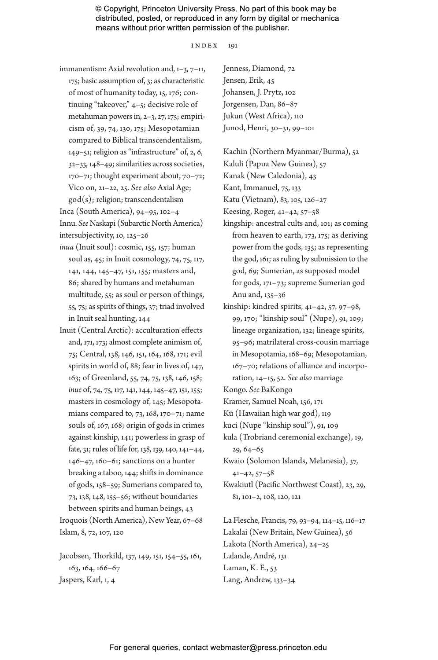#### index 191

immanentism: Axial revolution and, 1–3, 7–11,

175; basic assumption of, 3; as characteristic of most of humanity today, 15, 176; continuing "takeover," 4–5; decisive role of metahuman powers in, 2–3, 27, 175; empiricism of, 39, 74, 130, 175; Mesopotamian compared to Biblical transcendentalism, 149–51; religion as "infrastructure" of, 2, 6, 32–33, 148–49; similarities across societies, 170–71; thought experiment about, 70–72; Vico on, 21–22, 25. *See also* Axial Age; god(s); religion; transcendentalism

Inca (South America), 94–95, 102–4 Innu. *See* Naskapi (Subarctic North America) intersubjectivity, 10, 125–26

- *inua* (Inuit soul): cosmic, 155, 157; human soul as, 45; in Inuit cosmology, 74, 75, 117, 141, 144, 145–47, 151, 155; masters and, 86; shared by humans and metahuman multitude, 55; as soul or person of things, 55, 75; as spirits of things, 37; triad involved in Inuit seal hunting, 144
- Inuit (Central Arctic): acculturation effects and, 171, 173; almost complete animism of, 75; Central, 138, 146, 151, 164, 168, 171; evil spirits in world of, 88; fear in lives of, 147, 163; of Greenland, 55, 74, 75, 138, 146, 158; *inue* of, 74, 75, 117, 141, 144, 145–47, 151, 155; masters in cosmology of, 145; Mesopotamians compared to, 73, 168, 170–71; name souls of, 167, 168; origin of gods in crimes against kinship, 141; powerless in grasp of fate, 31; rules of life for, 138, 139, 140, 141–44, 146–47, 160–61; sanctions on a hunter breaking a taboo, 144; shifts in dominance of gods, 158–59; Sumerians compared to, 73, 138, 148, 155–56; without boundaries between spirits and human beings, 43

Iroquois (North America), New Year, 67–68 Islam, 8, 72, 107, 120

Jacobsen, Thorkild, 137, 149, 151, 154–55, 161, 163, 164, 166–67 Jaspers, Karl, 1, 4

Jenness, Diamond, 72 Jensen, Erik, 45 Johansen, J. Prytz, 102 Jorgensen, Dan, 86–87 Jukun (West Africa), 110 Junod, Henri, 30–31, 99–101

Kachin (Northern Myanmar/Burma), 52 Kaluli (Papua New Guinea), 57 Kanak (New Caledonia), 43

Kant, Immanuel, 75, 133

Katu (Vietnam), 83, 105, 126–27

Keesing, Roger, 41–42, 57–58

- kingship: ancestral cults and, 101; as coming from heaven to earth, 173, 175; as deriving power from the gods, 135; as representing the god, 161; as ruling by submission to the god, 69; Sumerian, as supposed model for gods, 171–73; supreme Sumerian god Anu and, 135–36
- kinship: kindred spirits, 41–42, 57, 97–98, 99, 170; "kinship soul" (Nupe), 91, 109; lineage organization, 132; lineage spirits, 95–96; matrilateral cross-cousin marriage in Mesopotamia, 168–69; Mesopotamian, 167–70; relations of alliance and incorporation, 14–15, 52. *See also* marriage

Kongo. *See* BaKongo

- Kramer, Samuel Noah, 156, 171
- Kū (Hawaiian high war god), 119
- kuci (Nupe "kinship soul"), 91, 109
- kula (Trobriand ceremonial exchange), 19, 29, 64–65

Kwaio (Solomon Islands, Melanesia), 37, 41–42, 57–58

Kwakiutl (Pacific Northwest Coast), 23, 29, 81, 101–2, 108, 120, 121

La Flesche, Francis, 79, 93–94, 114–15, 116–17 Lakalai (New Britain, New Guinea), 56 Lakota (North America), 24–25 Lalande, André, 131 Laman, K. E., 53 Lang, Andrew, 133–34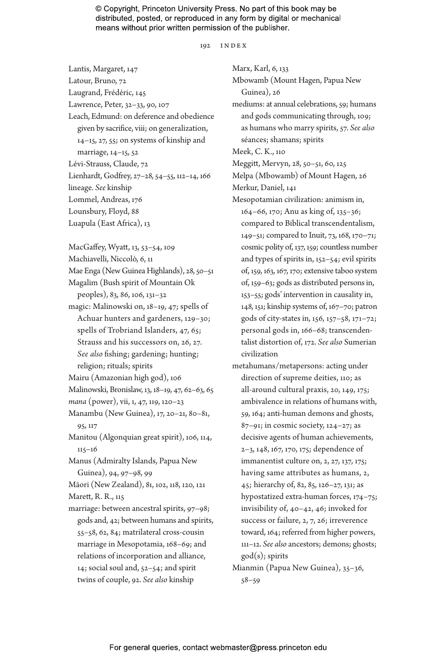192 index

Lantis, Margaret, 147 Latour, Bruno, 72 Laugrand, Frédéric, 145

Lawrence, Peter, 32–33, 90, 107

Leach, Edmund: on deference and obedience given by sacrifice, viii; on generalization, 14–15, 27, 55; on systems of kinship and marriage, 14–15, 52

Lévi-Strauss, Claude, 72

Lienhardt, Godfrey, 27–28, 54–55, 112–14, 166 lineage. *See* kinship

Lommel, Andreas, 176

Lounsbury, Floyd, 88

Luapula (East Africa), 13

MacGaffey, Wyatt, 13, 53–54, 109

Machiavelli, Niccolò, 6, 11

Mae Enga (New Guinea Highlands), 28, 50–51 Magalim (Bush spirit of Mountain Ok

peoples), 83, 86, 106, 131–32

- magic: Malinowski on, 18–19, 47; spells of Achuar hunters and gardeners, 129–30; spells of Trobriand Islanders, 47, 65; Strauss and his successors on, 26, 27. *See also* fishing; gardening; hunting; religion; rituals; spirits
- Mairu (Amazonian high god), 106

Malinowski, Bronislaw, 13, 18–19, 47, 62–63, 65

- *mana* (power), vii, 1, 47, 119, 120–23
- Manambu (New Guinea), 17, 20–21, 80–81, 95, 117

Manitou (Algonquian great spirit), 106, 114, 115–16

Manus (Admiralty Islands, Papua New Guinea), 94, 97–98, 99

Māori (New Zealand), 81, 102, 118, 120, 121

Marett, R. R., 115

marriage: between ancestral spirits, 97–98; gods and, 42; between humans and spirits, 55–58, 62, 84; matrilateral cross-cousin marriage in Mesopotamia, 168–69; and relations of incorporation and alliance, 14; social soul and, 52–54; and spirit twins of couple, 92. *See also* kinship

Marx, Karl, 6, 133 Mbowamb (Mount Hagen, Papua New Guinea), 26 mediums: at annual celebrations, 59; humans and gods communicating through, 109; as humans who marry spirits, 57. *See also* séances; shamans; spirits Meek, C. K., 110

Meggitt, Mervyn, 28, 50–51, 60, 125

Melpa (Mbowamb) of Mount Hagen, 26 Merkur, Daniel, 141

- Mesopotamian civilization: animism in, 164–66, 170; Anu as king of, 135–36; compared to Biblical transcendentalism, 149–51; compared to Inuit, 73, 168, 170–71; cosmic polity of, 137, 159; countless number and types of spirits in, 152–54; evil spirits of, 159, 163, 167, 170; extensive taboo system of, 159–63; gods as distributed persons in, 153–55; gods' intervention in causality in, 148, 151; kinship systems of, 167–70; patron gods of city-states in, 156, 157–58, 171–72; personal gods in, 166–68; transcendentalist distortion of, 172. *See also* Sumerian civilization
- metahumans/metapersons: acting under direction of supreme deities, 110; as all-around cultural praxis, 20, 149, 175; ambivalence in relations of humans with, 59, 164; anti-human demons and ghosts,  $87-91$ ; in cosmic society,  $124-27$ ; as decisive agents of human achievements, 2–3, 148, 167, 170, 175; dependence of immanentist culture on, 2, 27, 137, 175; having same attributes as humans, 2, 45; hierarchy of, 82, 85, 126–27, 131; as hypostatized extra-human forces, 174–75; invisibility of, 40–42, 46; invoked for success or failure, 2, 7, 26; irreverence toward, 164; referred from higher powers, 111–12. *See also* ancestors; demons; ghosts; god(s); spirits
- Mianmin (Papua New Guinea), 35–36, 58–59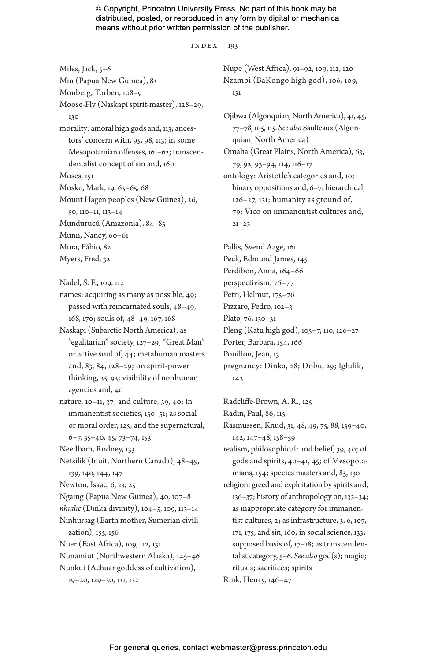index 193

Miles, Jack, 5–6 Min (Papua New Guinea), 83 Monberg, Torben, 108–9 Moose-Fly (Naskapi spirit-master), 128–29, 130 morality: amoral high gods and, 113; ancestors' concern with, 95, 98, 113; in some Mesopotamian offenses, 161–62; transcendentalist concept of sin and, 160 Moses, 151 Mosko, Mark, 19, 63–65, 68 Mount Hagen peoples (New Guinea), 26, 50, 110–11, 113–14 Mundurucú (Amazonia), 84–85 Munn, Nancy, 60–61 Mura, Fábio, 82 Myers, Fred, 32

Nadel, S. F., 109, 112

- names: acquiring as many as possible, 49; passed with reincarnated souls, 48–49, 168, 170; souls of, 48–49, 167, 168
- Naskapi (Subarctic North America): as "egalitarian" society, 127–29; "Great Man" or active soul of, 44; metahuman masters and, 83, 84, 128–29; on spirit-power thinking, 35, 93; visibility of nonhuman agencies and, 40
- nature, 10–11, 37; and culture, 39, 40; in immanentist societies, 150–51; as social or moral order, 125; and the supernatural, 6–7, 35–40, 45, 73–74, 153
- Needham, Rodney, 133
- Netsilik (Inuit, Northern Canada), 48–49, 139, 140, 144, 147
- Newton, Isaac, 6, 23, 25
- Ngaing (Papua New Guinea), 40, 107–8
- *nhialic* (Dinka divinity), 104–5, 109, 113–14
- Ninhursag (Earth mother, Sumerian civilization), 155, 156
- Nuer (East Africa), 109, 112, 131
- Nunamiut (Northwestern Alaska), 145–46
- Nunkui (Achuar goddess of cultivation),
	- 19–20, 129–30, 131, 132

Nupe (West Africa), 91–92, 109, 112, 120 Nzambi (BaKongo high god), 106, 109, 131

Ojibwa (Algonquian, North America), 41, 45, 77–78, 105, 115. *See also* Saulteaux (Algonquian, North America) Omaha (Great Plains, North America), 63, 79, 92, 93–94, 114, 116–17 ontology: Aristotle's categories and, 10; binary oppositions and, 6–7; hierarchical,  $126-27$ ,  $131$ ; humanity as ground of, 79; Vico on immanentist cultures and,  $21 - 23$ 

Pallis, Svend Aage, 161 Peck, Edmund James, 145 Perdibon, Anna, 164–66 perspectivism, 76–77 Petri, Helmut, 175–76 Pizzaro, Pedro, 102–3 Plato, 76, 130–31 Pleng (Katu high god), 105–7, 110, 126–27 Porter, Barbara, 154, 166 Pouillon, Jean, 13 pregnancy: Dinka, 28; Dobu, 29; Iglulik, 143

Radcliffe-Brown, A. R., 125

Radin, Paul, 86, 115

Rasmussen, Knud, 31, 48, 49, 75, 88, 139–40, 142, 147–48, 158–59

realism, philosophical: and belief, 39, 40; of gods and spirits, 40–41, 45; of Mesopotamians, 154; species masters and, 85, 130

religion: greed and exploitation by spirits and, 136–37; history of anthropology on, 133–34; as inappropriate category for immanentist cultures, 2; as infrastructure, 3, 6, 107, 171, 175; and sin, 160; in social science, 133; supposed basis of, 17–18; as transcendentalist category, 5–6. *See also* god(s); magic; rituals; sacrifices; spirits Rink, Henry, 146–47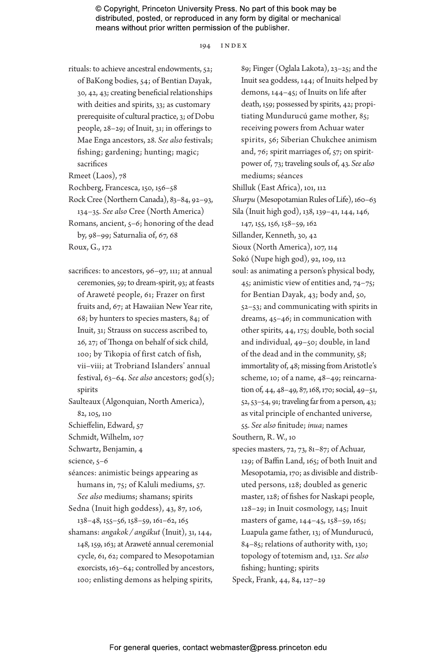194 index

- rituals: to achieve ancestral endowments, 52; of BaKong bodies, 54; of Bentian Dayak, 30, 42, 43; creating beneficial relationships with deities and spirits, 33; as customary prerequisite of cultural practice, 3; of Dobu people, 28–29; of Inuit, 31; in offerings to Mae Enga ancestors, 28. *See also* festivals; fishing; gardening; hunting; magic; sacrifices
- Rmeet (Laos), 78
- Rochberg, Francesca, 150, 156–58
- Rock Cree (Northern Canada), 83–84, 92–93, 134–35. *See also* Cree (North America) Romans, ancient, 5–6; honoring of the dead
- by, 98–99; Saturnalia of, 67, 68 Roux, G., 172
- sacrifices: to ancestors, 96-97, 111; at annual ceremonies, 59; to dream-spirit, 93; at feasts of Araweté people, 61; Frazer on first fruits and, 67; at Hawaiian New Year rite, 68; by hunters to species masters, 84; of Inuit, 31; Strauss on success ascribed to, 26, 27; of Thonga on behalf of sick child, 100; by Tikopia of first catch of fish, vii–viii; at Trobriand Islanders' annual festival, 63–64. *See also* ancestors; god(s); spirits

Saulteaux (Algonquian, North America), 82, 105, 110

- Schieffelin, Edward, 57
- Schmidt, Wilhelm, 107
- Schwartz, Benjamin, 4

science, 5–6

séances: animistic beings appearing as humans in, 75; of Kaluli mediums, 57. *See also* mediums; shamans; spirits

- Sedna (Inuit high goddess), 43, 87, 106, 138–48, 155–56, 158–59, 161–62, 165
- shamans: *angakok / angákut* (Inuit), 31, 144, 148, 159, 163; at Araweté annual ceremonial cycle, 61, 62; compared to Mesopotamian exorcists, 163–64; controlled by ancestors, 100; enlisting demons as helping spirits,

89; Finger (Oglala Lakota), 23–25; and the Inuit sea goddess, 144; of Inuits helped by demons, 144–45; of Inuits on life after death, 159; possessed by spirits, 42; propitiating Mundurucú game mother, 85; receiving powers from Achuar water spirits, 56; Siberian Chukchee animism and, 76; spirit marriages of, 57; on spiritpower of, 73; traveling souls of, 43. *See also* mediums; séances Shilluk (East Africa), 101, 112 *Shurpu* (Mesopotamian Rules of Life), 160–63 Sila (Inuit high god), 138, 139–41, 144, 146, 147, 155, 156, 158–59, 162 Sillander, Kenneth, 30, 42 Sioux (North America), 107, 114 Sokó (Nupe high god), 92, 109, 112 soul: as animating a person's physical body, 45; animistic view of entities and, 74–75; for Bentian Dayak, 43; body and, 50, 52–53; and communicating with spirits in dreams, 45–46; in communication with other spirits, 44, 175; double, both social and individual, 49–50; double, in land of the dead and in the community, 58; immortality of, 48; missing from Aristotle's scheme, 10; of a name, 48–49; reincarnation of, 44, 48–49, 87, 168, 170; social, 49–51, 52, 53–54, 91; traveling far from a person, 43; as vital principle of enchanted universe, 55. *See also* finitude; *inua*; names Southern, R. W., 10

species masters, 72, 73, 81–87; of Achuar, 129; of Baffin Land, 165; of both Inuit and Mesopotamia, 170; as divisible and distributed persons, 128; doubled as generic master, 128; of fishes for Naskapi people, 128–29; in Inuit cosmology, 145; Inuit masters of game, 144–45, 158–59, 165; Luapula game father, 13; of Mundurucú, 84–85; relations of authority with, 130; topology of totemism and, 132. *See also* fishing; hunting; spirits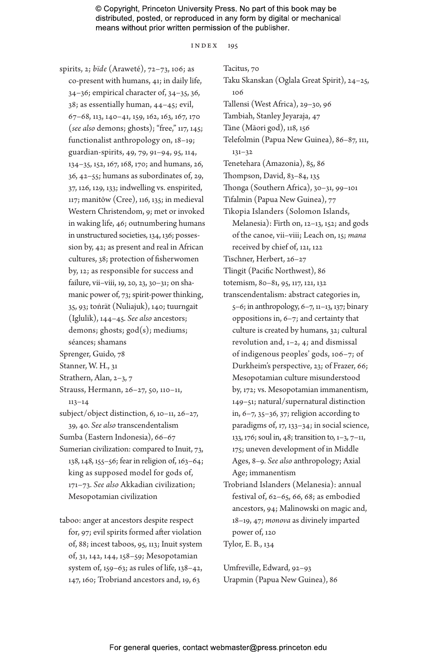#### index 195

spirits, 2; *bïde* (Araweté), 72–73, 106; as co-present with humans, 41; in daily life, 34–36; empirical character of, 34–35, 36, 38; as essentially human, 44–45; evil, 67–68, 113, 140–41, 159, 162, 163, 167, 170 (*see also* demons; ghosts); "free," 117, 145; functionalist anthropology on, 18–19; guardian-spirits, 49, 79, 91–94, 95, 114, 134–35, 152, 167, 168, 170; and humans, 26, 36, 42–55; humans as subordinates of, 29, 37, 126, 129, 133; indwelling vs. enspirited, 117; manitōw (Cree), 116, 135; in medieval Western Christendom, 9; met or invoked in waking life, 46; outnumbering humans in unstructured societies, 134, 136; possession by, 42; as present and real in African cultures, 38; protection of fisherwomen by, 12; as responsible for success and failure, vii–viii, 19, 20, 23, 30–31; on shamanic power of, 73; spirit-power thinking, 35, 93; toṅrät (Nuliajuk), 140; tuurngait (Iglulik), 144–45. *See also* ancestors; demons; ghosts; god(s); mediums; séances; shamans Sprenger, Guido, 78 Stanner, W. H., 31 Strathern, Alan, 2–3, 7 Strauss, Hermann, 26–27, 50, 110–11, 113–14 subject/object distinction, 6, 10–11, 26–27, 39, 40. *See also* transcendentalism Sumba (Eastern Indonesia), 66–67 Sumerian civilization: compared to Inuit, 73, 138, 148, 155–56; fear in religion of, 163–64; king as supposed model for gods of, 171–73. *See also* Akkadian civilization; Mesopotamian civilization

taboo: anger at ancestors despite respect for, 97; evil spirits formed after violation of, 88; incest taboos, 95, 113; Inuit system of, 31, 142, 144, 158–59; Mesopotamian system of, 159–63; as rules of life, 138–42, 147, 160; Trobriand ancestors and, 19, 63

Tacitus, 70 Taku Skanskan (Oglala Great Spirit), 24–25, 106 Tallensi (West Africa), 29–30, 96 Tambiah, Stanley Jeyaraja, 47 Tāne (Māori god), 118, 156 Telefolmin (Papua New Guinea), 86–87, 111, 131–32 Tenetehara (Amazonia), 85, 86 Thompson, David, 83–84, 135 Thonga (Southern Africa), 30–31, 99–101 Tifalmin (Papua New Guinea), 77 Tikopia Islanders (Solomon Islands, Melanesia): Firth on, 12–13, 152; and gods of the canoe, vii–viii; Leach on, 15; *mana* received by chief of, 121, 122 Tischner, Herbert, 26–27 Tlingit (Pacific Northwest), 86 totemism, 80–81, 95, 117, 121, 132 transcendentalism: abstract categories in, 5–6; in anthropology, 6–7, 11–13, 137; binary oppositions in, 6–7; and certainty that culture is created by humans, 32; cultural revolution and, 1–2, 4; and dismissal of indigenous peoples' gods, 106–7; of Durkheim's perspective, 23; of Frazer, 66; Mesopotamian culture misunderstood by, 172; vs. Mesopotamian immanentism, 149–51; natural/supernatural distinction in, 6–7, 35–36, 37; religion according to paradigms of, 17, 133–34; in social science, 133, 176; soul in, 48; transition to, 1–3, 7–11, 175; uneven development of in Middle Ages, 8–9. *See also* anthropology; Axial Age; immanentism Trobriand Islanders (Melanesia): annual

festival of, 62–65, 66, 68; as embodied ancestors, 94; Malinowski on magic and, 18–19, 47; *monova* as divinely imparted power of, 120

Tylor, E. B., 134

Umfreville, Edward, 92–93 Urapmin (Papua New Guinea), 86